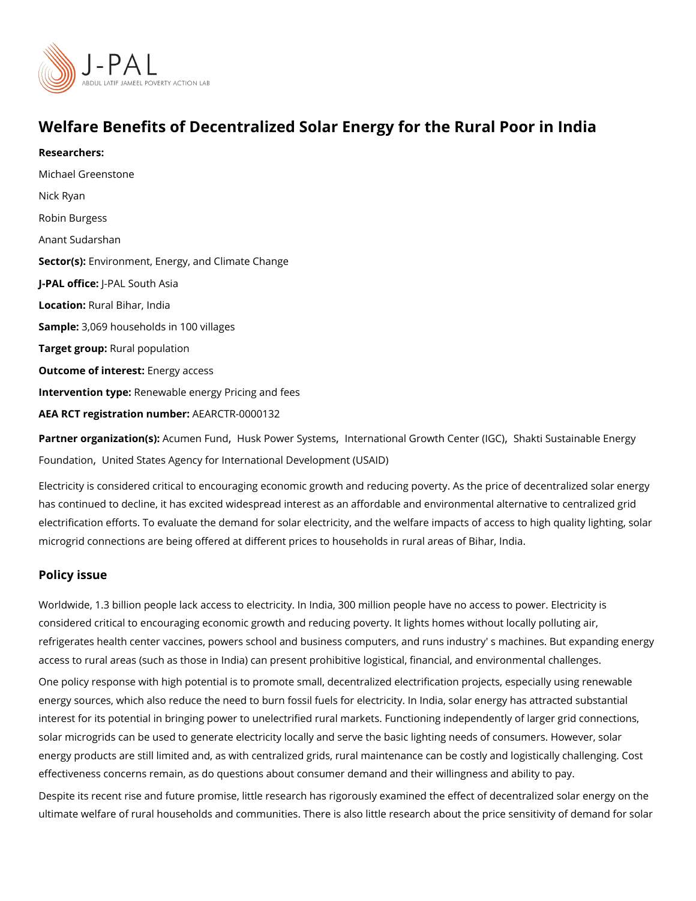# Welfare Benefits of Decentralized Solar Energy for the Rura

Researchers: [Michael Gree](https://www.povertyactionlab.org/person/greenstone)nstone [Nick R](https://www.povertyactionlab.org/person/ryan)yan [Robin Bur](https://www.povertyactionlab.org/person/burgess)gess Anant Sudarshan Sector(En) vironment, Energy, and Climate Change J-PAL of tlicReal South Asia LocatioRural Bihar, India Sample: 069 households in 100 villages Target gro**Rpral** population Outcome of interestry access Intervention tReemewable energy Pricing and fees AEA RCT registration ArEuAnRbCeTR-0000132 Partner organizatAcum (msen Fulmindsk Power Systemers ational Growth Center (ISC) tainable Energy

[Founda](https://www.povertyactionlab.org/partners/shakti-sustainable-energy-foundation)t[,](https://www.povertyactionlab.org/partners/shakti-sustainable-energy-foundation) i b mited States Agency for International Development (USAID)

Electricity is considered critical to encouraging economic growth and reducing poverty. A has continued to decline, it has excited widespread interest as an affordable and environ electrification efforts. To evaluate the demand for solar electricity, and the welfare impact microgrid connections are being offered at different prices to households in rural areas o

#### Policy issue

Worldwide, 1.3 billion people lack access to electricity. In India, 300 million people have considered critical to encouraging economic growth and reducing poverty. It lights homes refrigerates health center vaccines, powers school and business computers, and runs indu access to rural areas (such as those in India) can present prohibitive logistical, financial One policy response with high potential is to promote small, decentralized electrification energy sources, which also reduce the need to burn fossil fuels for electricity. In India, s interest for its potential in bringing power to unelectrified rural markets. Functioning inde solar microgrids can be used to generate electricity locally and serve the basic lighting n energy products are still limited and, as with centralized grids, rural maintenance can be effectiveness concerns remain, as do questions about consumer demand and their willingr Despite its recent rise and future promise, little research has rigorously examined the eff ultimate welfare of rural households and communities. There is also little research about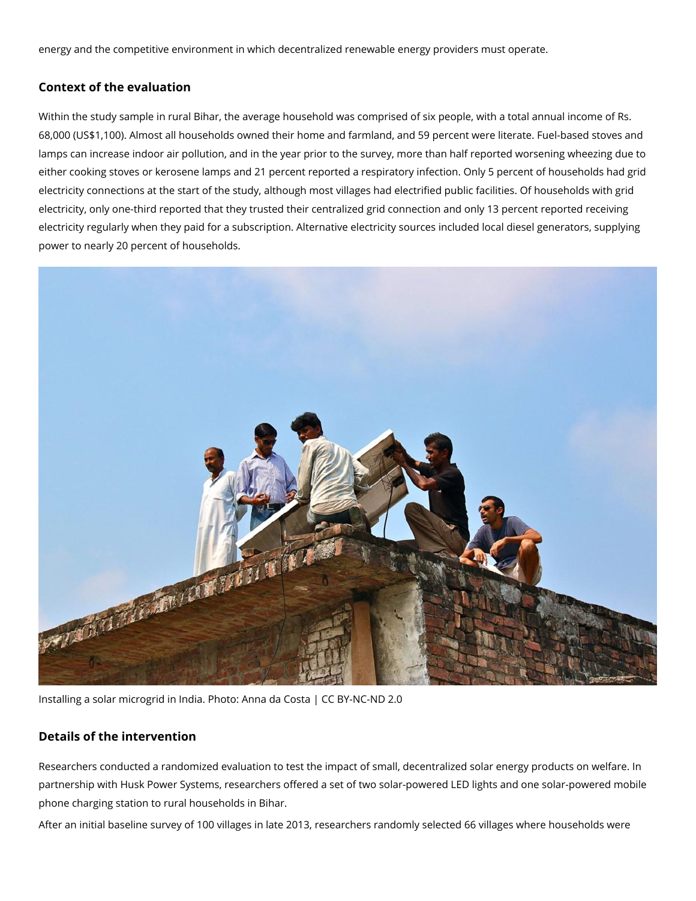energy and the competitive environment in which decentralized renewable energy providers must operate.

### **Context of the evaluation**

Within the study sample in rural Bihar, the average household was comprised of six people, with a total annual income of Rs. 68,000 (US\$1,100). Almost all households owned their home and farmland, and 59 percent were literate. Fuel-based stoves and lamps can increase indoor air pollution, and in the year prior to the survey, more than half reported worsening wheezing due to either cooking stoves or kerosene lamps and 21 percent reported a respiratory infection. Only 5 percent of households had grid electricity connections at the start of the study, although most villages had electrified public facilities. Of households with grid electricity, only one-third reported that they trusted their centralized grid connection and only 13 percent reported receiving electricity regularly when they paid for a subscription. Alternative electricity sources included local diesel generators, supplying power to nearly 20 percent of households.



Installing a solar microgrid in India. Photo: Anna da Costa | CC BY-NC-ND 2.0

#### **Details of the intervention**

Researchers conducted a randomized evaluation to test the impact of small, decentralized solar energy products on welfare. In partnership with Husk Power Systems, researchers offered a set of two solar-powered LED lights and one solar-powered mobile phone charging station to rural households in Bihar.

After an initial baseline survey of 100 villages in late 2013, researchers randomly selected 66 villages where households were